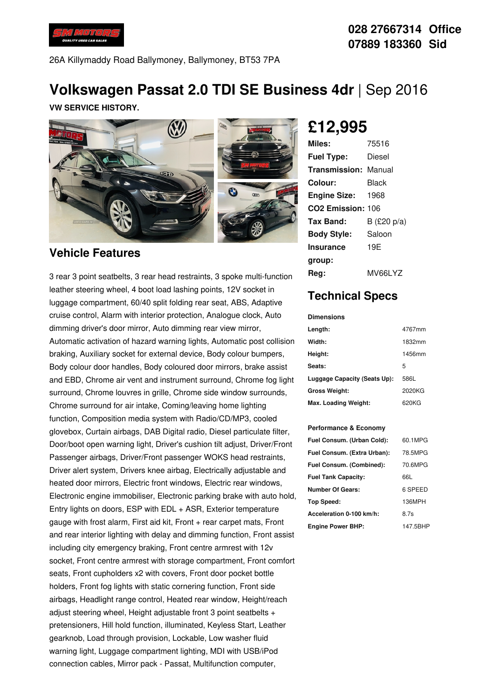

### **028 27667314 Office 07889 183360 Sid**

26A Killymaddy Road Ballymoney, Ballymoney, BT53 7PA

# **Volkswagen Passat 2.0 TDI SE Business 4dr** |Sep 2016

**VW SERVICE HISTORY.**



#### **Vehicle Features**

3 rear 3 point seatbelts, 3 rear head restraints, 3 spoke multi-function leather steering wheel, 4 boot load lashing points, 12V socket in luggage compartment, 60/40 split folding rear seat, ABS, Adaptive cruise control, Alarm with interior protection, Analogue clock, Auto dimming driver's door mirror, Auto dimming rear view mirror, Automatic activation of hazard warning lights, Automatic post collision braking, Auxiliary socket for external device, Body colour bumpers, Body colour door handles, Body coloured door mirrors, brake assist and EBD, Chrome air vent and instrument surround, Chrome fog light surround, Chrome louvres in grille, Chrome side window surrounds, Chrome surround for air intake, Coming/leaving home lighting function, Composition media system with Radio/CD/MP3, cooled glovebox, Curtain airbags, DAB Digital radio, Diesel particulate filter, Door/boot open warning light, Driver's cushion tilt adjust, Driver/Front Passenger airbags, Driver/Front passenger WOKS head restraints, Driver alert system, Drivers knee airbag, Electrically adjustable and heated door mirrors, Electric front windows, Electric rear windows, Electronic engine immobiliser, Electronic parking brake with auto hold, Entry lights on doors, ESP with EDL + ASR, Exterior temperature gauge with frost alarm, First aid kit, Front + rear carpet mats, Front and rear interior lighting with delay and dimming function, Front assist including city emergency braking, Front centre armrest with 12v socket, Front centre armrest with storage compartment, Front comfort seats, Front cupholders x2 with covers, Front door pocket bottle holders, Front fog lights with static cornering function, Front side airbags, Headlight range control, Heated rear window, Height/reach adjust steering wheel, Height adjustable front 3 point seatbelts + pretensioners, Hill hold function, illuminated, Keyless Start, Leather gearknob, Load through provision, Lockable, Low washer fluid warning light, Luggage compartment lighting, MDI with USB/iPod connection cables, Mirror pack - Passat, Multifunction computer,

# **£12,995**

| Miles:                        | 75516          |
|-------------------------------|----------------|
| <b>Fuel Type:</b>             | Diesel         |
| <b>Transmission: Manual</b>   |                |
| Colour:                       | Black          |
| <b>Engine Size:</b>           | -- 1968        |
| CO <sub>2</sub> Emission: 106 |                |
| Tax Band:                     | B (£20 $p/a$ ) |
| <b>Body Style:</b>            | Saloon         |
| <b>Insurance</b>              | 19E            |
| group:                        |                |
| Rea:                          | MV66LYZ        |

## **Technical Specs**

| <b>Dimensions</b>            |        |
|------------------------------|--------|
| Length:                      | 4767mm |
| Width:                       | 1832mm |
| Height:                      | 1456mm |
| Seats:                       | 5      |
| Luggage Capacity (Seats Up): | 586L   |
| <b>Gross Weight:</b>         | 2020KG |
| Max. Loading Weight:         | 620KG  |

#### **Performance & Economy**

| Fuel Consum. (Urban Cold):  | 60.1MPG  |
|-----------------------------|----------|
| Fuel Consum. (Extra Urban): | 78.5MPG  |
| Fuel Consum. (Combined):    | 70.6MPG  |
| <b>Fuel Tank Capacity:</b>  | 66L      |
| Number Of Gears:            | 6 SPEED  |
| Top Speed:                  | 136MPH   |
| Acceleration 0-100 km/h:    | 8.7s     |
| <b>Engine Power BHP:</b>    | 147.5BHP |